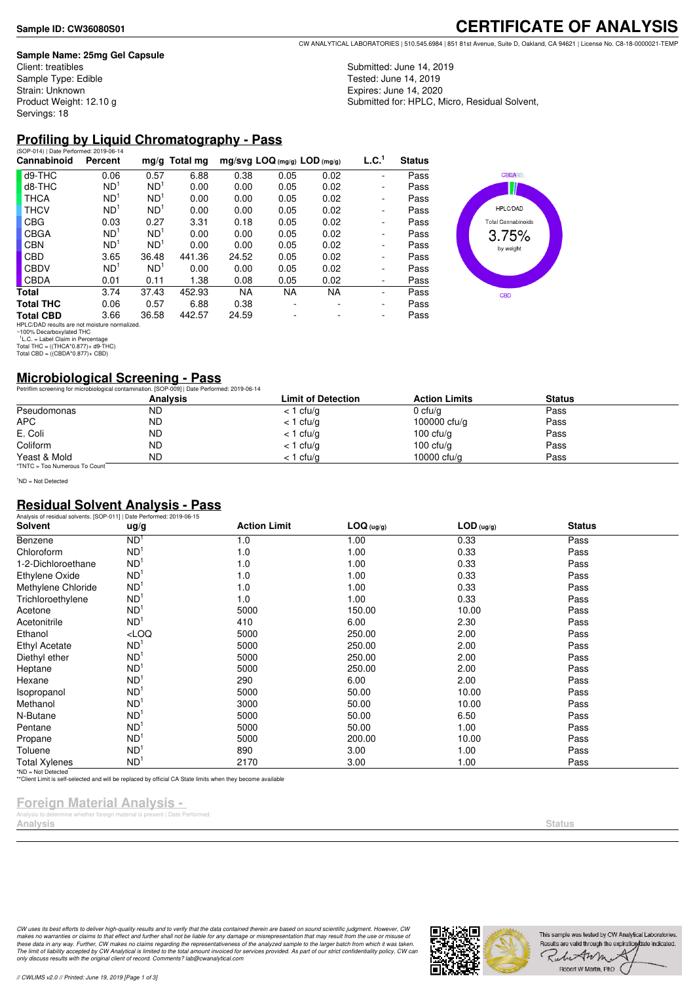#### **Sample Name: 25mg Gel Capsule**

Client: treatibles Sample Type: Edible Strain: Unknown Product Weight: 12.10 g Servings: 18

**CERTIFICATE OF ANALYSIS**

Submitted: June 14, 2019 Tested: June 14, 2019 Expires: June 14, 2020 Submitted for: HPLC, Micro, Residual Solvent,

#### **Profiling by Liquid Chromatography - Pass** (SOP-014) | Date Performed: 2019-06-14

| Cannabinoid                                  | Percent         |                 | mg/g Total mg | $mg/svg$ LOQ (mg/g) LOD (mg/g) |           |           | L.C. <sup>1</sup> | <b>Status</b> |                           |
|----------------------------------------------|-----------------|-----------------|---------------|--------------------------------|-----------|-----------|-------------------|---------------|---------------------------|
| d9-THC                                       | 0.06            | 0.57            | 6.88          | 0.38                           | 0.05      | 0.02      |                   | Pass          | <b>CBDA</b>               |
| d8-THC                                       | ND <sup>1</sup> | ND <sup>1</sup> | 0.00          | 0.00                           | 0.05      | 0.02      |                   | Pass          |                           |
| <b>THCA</b>                                  | ND <sup>1</sup> | ND <sup>1</sup> | 0.00          | 0.00                           | 0.05      | 0.02      |                   | Pass          |                           |
| <b>THCV</b>                                  | ND <sup>1</sup> | ND <sup>1</sup> | 0.00          | 0.00                           | 0.05      | 0.02      |                   | Pass          | HPLC/DAD                  |
| <b>CBG</b>                                   | 0.03            | 0.27            | 3.31          | 0.18                           | 0.05      | 0.02      |                   | Pass          | <b>Total Cannabinoids</b> |
| <b>CBGA</b>                                  | ND <sup>1</sup> | ND <sup>1</sup> | 0.00          | 0.00                           | 0.05      | 0.02      |                   | Pass          | 3.75%                     |
| <b>CBN</b>                                   | ND <sup>1</sup> | ND <sup>1</sup> | 0.00          | 0.00                           | 0.05      | 0.02      |                   | Pass          | by weight                 |
| <b>CBD</b>                                   | 3.65            | 36.48           | 441.36        | 24.52                          | 0.05      | 0.02      |                   | Pass          |                           |
| <b>CBDV</b>                                  | ND <sup>1</sup> | ND <sup>1</sup> | 0.00          | 0.00                           | 0.05      | 0.02      |                   | Pass          |                           |
| <b>CBDA</b>                                  | 0.01            | 0.11            | 1.38          | 0.08                           | 0.05      | 0.02      |                   | Pass          |                           |
| Total                                        | 3.74            | 37.43           | 452.93        | <b>NA</b>                      | <b>NA</b> | <b>NA</b> | ۰                 | Pass          | <b>CBD</b>                |
| <b>Total THC</b>                             | 0.06            | 0.57            | 6.88          | 0.38                           |           |           | ۰                 | Pass          |                           |
| <b>Total CBD</b>                             | 3.66            | 36.58           | 442.57        | 24.59                          |           |           |                   | Pass          |                           |
| HPLC/DAD results are not moisture normalized |                 |                 |               |                                |           |           |                   |               |                           |

HPLC/DAD results are not moisture normalized.<br>' <sup>1</sup>L.C. = Label Claim in Percentage<br>' <sup>1</sup>L.C. = Label Claim in Percentage<br>Total THC = ((THCA\*0.877)+ d9-THC)<br>Total CBD = ((CBDA\*0.877)+ CBD)

## **Microbiological Screening - Pass**

|                               | Petriflim screening for microbiological contamination. [SOP-009]   Date Performed: 2019-06-14 |                           |                      |               |  |
|-------------------------------|-----------------------------------------------------------------------------------------------|---------------------------|----------------------|---------------|--|
|                               | <b>Analysis</b>                                                                               | <b>Limit of Detection</b> | <b>Action Limits</b> | <b>Status</b> |  |
| Pseudomonas                   | <b>ND</b>                                                                                     | $<$ 1 cfu/g               | 0 cfu/g              | Pass          |  |
| <b>APC</b>                    | ND                                                                                            | $<$ 1 cfu/g               | 100000 $ctu/g$       | Pass          |  |
| E. Coli                       | <b>ND</b>                                                                                     | $<$ 1 cfu/g               | 100 $ctu/a$          | Pass          |  |
| Coliform                      | <b>ND</b>                                                                                     | $<$ 1 cfu/g               | 100 $ctu/a$          | Pass          |  |
| Yeast & Mold                  | <b>ND</b>                                                                                     | $<$ 1 cfu/g               | 10000 cfu/g          | Pass          |  |
| *TNTC = Too Numerous To Count |                                                                                               |                           |                      |               |  |

<sup>1</sup>ND = Not Detected

## **Residual Solvent Analysis - Pass**

| Solvent              | ug/g            | <b>Action Limit</b> | LOG (ug/g) | $LOD$ (ug/g) | <b>Status</b> |
|----------------------|-----------------|---------------------|------------|--------------|---------------|
| Benzene              | ND <sup>'</sup> | 1.0                 | 1.00       | 0.33         | Pass          |
| Chloroform           | ND <sup>1</sup> | 1.0                 | 1.00       | 0.33         | Pass          |
| 1-2-Dichloroethane   | ND <sup>1</sup> | 1.0                 | 1.00       | 0.33         | Pass          |
| Ethylene Oxide       | ND <sup>1</sup> | 1.0                 | 1.00       | 0.33         | Pass          |
| Methylene Chloride   | ND <sup>1</sup> | 1.0                 | 1.00       | 0.33         | Pass          |
| Trichloroethylene    | ND <sup>1</sup> | 1.0                 | 1.00       | 0.33         | Pass          |
| Acetone              | ND              | 5000                | 150.00     | 10.00        | Pass          |
| Acetonitrile         | ND <sup>1</sup> | 410                 | 6.00       | 2.30         | Pass          |
| Ethanol              | LOO             | 5000                | 250.00     | 2.00         | Pass          |
| <b>Ethyl Acetate</b> | ND <sup>1</sup> | 5000                | 250.00     | 2.00         | Pass          |
| Diethyl ether        | ND              | 5000                | 250.00     | 2.00         | Pass          |
| Heptane              | ND <sup>1</sup> | 5000                | 250.00     | 2.00         | Pass          |
| Hexane               | ND <sup>1</sup> | 290                 | 6.00       | 2.00         | Pass          |
| Isopropanol          | ND <sup>1</sup> | 5000                | 50.00      | 10.00        | Pass          |
| Methanol             | ND              | 3000                | 50.00      | 10.00        | Pass          |
| N-Butane             | ND <sup>1</sup> | 5000                | 50.00      | 6.50         | Pass          |
| Pentane              | ND              | 5000                | 50.00      | 1.00         | Pass          |
| Propane              | ND              | 5000                | 200.00     | 10.00        | Pass          |
| Toluene              | ND <sup>'</sup> | 890                 | 3.00       | 1.00         | Pass          |
| <b>Total Xylenes</b> | ND <sup>1</sup> | 2170                | 3.00       | 1.00         | Pass          |

### **Foreign Material Analysis -**

foreign material is present | Date Pe **Analysis Status**

CW uses its best efforts to deliver high-quality results and to verify that the data contained therein are based on sound scientific judgment. However, CW<br>makes no warranties or claims to that effect and further shall not *only discuss results with the original client of record. Comments? lab@cwanalytical.com*

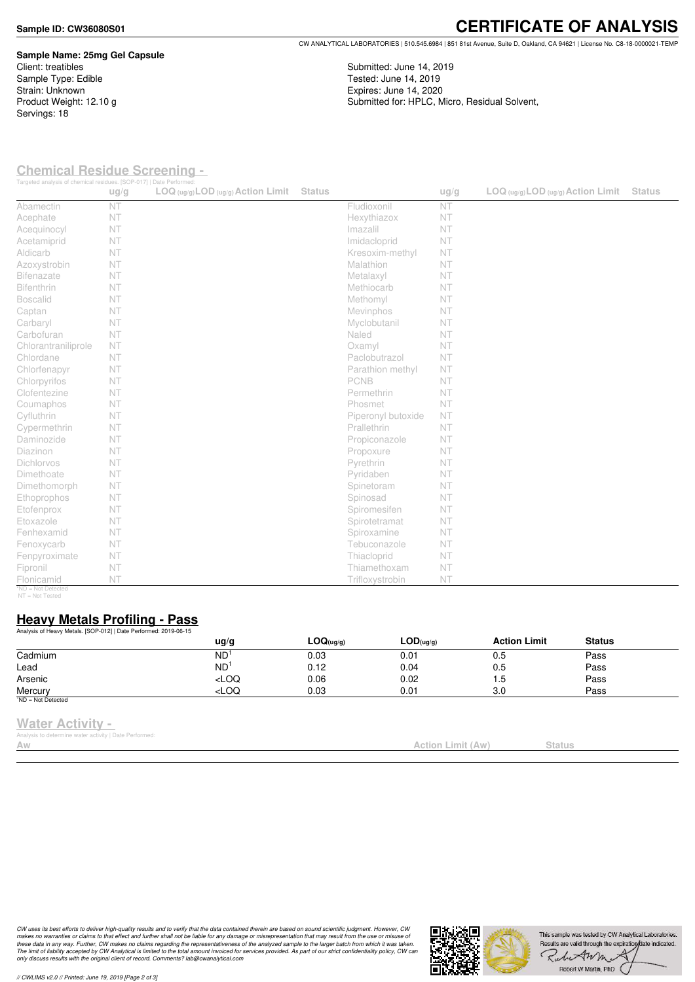#### **Sample ID: CW36080S01**

Servings: 18

**Sample Name: 25mg Gel Capsule** Client: treatibles Sample Type: Edible Strain: Unknown Product Weight: 12.10 g

CW ANALYTICAL LABORATORIES | 510.545.6984 | 851 81st Avenue, Suite D, Oakland, CA 94621 | License No. C8-18-0000021-TEMP

Submitted: June 14, 2019 Tested: June 14, 2019

Expires: June 14, 2020

Submitted for: HPLC, Micro, Residual Solvent,

**Chemical Residue Screening -** 

| Targeted analysis of chemical residues. [SOP-017]   Date Performed: | ug/g | $LOG (ug/g)$ LOD $(ug/g)$ Action Limit | <b>Status</b> |                    | ug/g | $LOG_{(uq/q)}LOD_{(uq/q)}$ Action Limit | <b>Status</b> |
|---------------------------------------------------------------------|------|----------------------------------------|---------------|--------------------|------|-----------------------------------------|---------------|
| Abamectin                                                           | NT   |                                        |               | Fludioxonil        | NT   |                                         |               |
| Acephate                                                            | NT   |                                        |               | Hexythiazox        | NT   |                                         |               |
| Acequinocyl                                                         | NT   |                                        |               | Imazalil           | NT   |                                         |               |
| Acetamiprid                                                         | NT   |                                        |               | Imidacloprid       | NT   |                                         |               |
| Aldicarb                                                            | NT   |                                        |               | Kresoxim-methyl    | NT   |                                         |               |
| Azoxystrobin                                                        | NT   |                                        |               | Malathion          | NT   |                                         |               |
| <b>Bifenazate</b>                                                   | NT   |                                        |               | Metalaxyl          | NT   |                                         |               |
| <b>Bifenthrin</b>                                                   | NT   |                                        |               | Methiocarb         | NT   |                                         |               |
| <b>Boscalid</b>                                                     | NT   |                                        |               | Methomyl           | NT   |                                         |               |
| Captan                                                              | NT   |                                        |               | Mevinphos          | NT   |                                         |               |
| Carbaryl                                                            | NT   |                                        |               | Myclobutanil       | NT   |                                         |               |
| Carbofuran                                                          | NT   |                                        |               | Naled              | NT   |                                         |               |
| Chlorantraniliprole                                                 | NT   |                                        |               | Oxamyl             | NT   |                                         |               |
| Chlordane                                                           | NT   |                                        |               | Paclobutrazol      | NT   |                                         |               |
| Chlorfenapyr                                                        | NT   |                                        |               | Parathion methyl   | NT   |                                         |               |
| Chlorpyrifos                                                        | NT   |                                        |               | <b>PCNB</b>        | NT   |                                         |               |
| Clofentezine                                                        | NT   |                                        |               | Permethrin         | NT   |                                         |               |
| Coumaphos                                                           | NT   |                                        |               | Phosmet            | NT   |                                         |               |
| Cyfluthrin                                                          | NT   |                                        |               | Piperonyl butoxide | NT   |                                         |               |
| Cypermethrin                                                        | NT   |                                        |               | Prallethrin        | NT   |                                         |               |
| Daminozide                                                          | NT   |                                        |               | Propiconazole      | NT   |                                         |               |
| Diazinon                                                            | NT   |                                        |               | Propoxure          | NT   |                                         |               |
| <b>Dichlorvos</b>                                                   | NT   |                                        |               | Pyrethrin          | NT   |                                         |               |
| Dimethoate                                                          | NT   |                                        |               | Pyridaben          | NT   |                                         |               |
| Dimethomorph                                                        | NT   |                                        |               | Spinetoram         | NT   |                                         |               |
| Ethoprophos                                                         | NT   |                                        |               | Spinosad           | NT   |                                         |               |
| Etofenprox                                                          | NT   |                                        |               | Spiromesifen       | NT   |                                         |               |
| Etoxazole                                                           | NT   |                                        |               | Spirotetramat      | NT   |                                         |               |
| Fenhexamid                                                          | NT   |                                        |               | Spiroxamine        | NT   |                                         |               |
| Fenoxycarb                                                          | NT   |                                        |               | Tebuconazole       | NT   |                                         |               |
| Fenpyroximate                                                       | NT   |                                        |               | Thiacloprid        | NT   |                                         |               |
| Fipronil                                                            | NT   |                                        |               | Thiamethoxam       | NT   |                                         |               |
| Flonicamid<br>*NID - Not Dot                                        | NT   |                                        |               | Trifloxystrobin    | NT   |                                         |               |

\*ND = Not Detected NT = Not Tested

### **Heavy Metals Profiling - Pass**

|                                    | ug/g                                                                            | LOG(uq/q) | LOD(uq/q) | <b>Action Limit</b> | <b>Status</b> |  |
|------------------------------------|---------------------------------------------------------------------------------|-----------|-----------|---------------------|---------------|--|
| Cadmium                            | ND <sup>1</sup>                                                                 | 0.03      | 0.01      | 0.5                 | Pass          |  |
| Lead                               | ND                                                                              | 0.12      | 0.04      | 0.5                 | Pass          |  |
| Arsenic                            | $<$ LOQ                                                                         | 0.06      | 0.02      | 1.5                 | Pass          |  |
| Mercury                            | <loq< td=""><td>0.03</td><td>0.01</td><td>3.0</td><td>Pass</td><td></td></loq<> | 0.03      | 0.01      | 3.0                 | Pass          |  |
| $^{\frac{1}{1}}$ ND = Not Detected |                                                                                 |           |           |                     |               |  |

#### **Water Activity -**

.<br>/itv | Date Performed

CW uses its best efforts to deliver high-quality results and to verify that the data contained therein are based on sound scientific judgment. However, CW<br>makes no warranties or claims to that effect and further shall not *only discuss results with the original client of record. Comments? lab@cwanalytical.com*



**Action Limit (Aw)** Status

# **CERTIFICATE OF ANALYSIS**